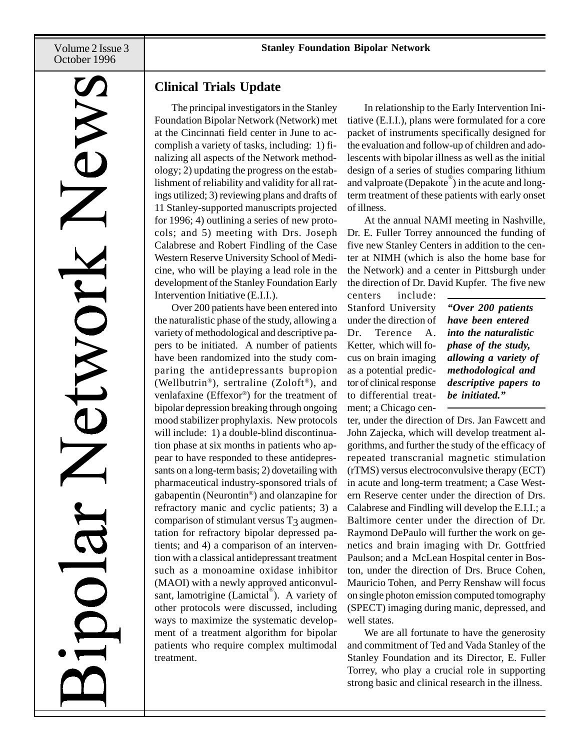Volume 2 Issue 3 October 1996

# WIC

# **Clinical Trials Update**

The principal investigators in the Stanley Foundation Bipolar Network (Network) met at the Cincinnati field center in June to accomplish a variety of tasks, including: 1) finalizing all aspects of the Network methodology; 2) updating the progress on the establishment of reliability and validity for all ratings utilized; 3) reviewing plans and drafts of 11 Stanley-supported manuscripts projected for 1996; 4) outlining a series of new protocols; and 5) meeting with Drs. Joseph Calabrese and Robert Findling of the Case Western Reserve University School of Medicine, who will be playing a lead role in the development of the Stanley Foundation Early Intervention Initiative (E.I.I.).

Over 200 patients have been entered into the naturalistic phase of the study, allowing a variety of methodological and descriptive papers to be initiated. A number of patients have been randomized into the study comparing the antidepressants bupropion (Wellbutrin®), sertraline (Zoloft®), and venlafaxine (Effexor®) for the treatment of bipolar depression breaking through ongoing mood stabilizer prophylaxis. New protocols will include: 1) a double-blind discontinuation phase at six months in patients who appear to have responded to these antidepressants on a long-term basis; 2) dovetailing with pharmaceutical industry-sponsored trials of gabapentin (Neurontin®) and olanzapine for refractory manic and cyclic patients; 3) a comparison of stimulant versus  $T<sub>3</sub>$  augmentation for refractory bipolar depressed patients; and 4) a comparison of an intervention with a classical antidepressant treatment such as a monoamine oxidase inhibitor (MAOI) with a newly approved anticonvulsant, lamotrigine (Lamictal®). A variety of other protocols were discussed, including ways to maximize the systematic development of a treatment algorithm for bipolar patients who require complex multimodal treatment.

In relationship to the Early Intervention Initiative (E.I.I.), plans were formulated for a core packet of instruments specifically designed for the evaluation and follow-up of children and adolescents with bipolar illness as well as the initial design of a series of studies comparing lithium and valproate (Depakote® ) in the acute and longterm treatment of these patients with early onset of illness.

At the annual NAMI meeting in Nashville, Dr. E. Fuller Torrey announced the funding of five new Stanley Centers in addition to the center at NIMH (which is also the home base for the Network) and a center in Pittsburgh under the direction of Dr. David Kupfer. The five new

centers include: Stanford University under the direction of Dr. Terence A. Ketter, which will focus on brain imaging as a potential predictor of clinical response to differential treatment; a Chicago cen-

*"Over 200 patients have been entered into the naturalistic phase of the study, allowing a variety of methodological and descriptive papers to be initiated."*

ter, under the direction of Drs. Jan Fawcett and John Zajecka, which will develop treatment algorithms, and further the study of the efficacy of repeated transcranial magnetic stimulation (rTMS) versus electroconvulsive therapy (ECT) in acute and long-term treatment; a Case Western Reserve center under the direction of Drs. Calabrese and Findling will develop the E.I.I.; a Baltimore center under the direction of Dr. Raymond DePaulo will further the work on genetics and brain imaging with Dr. Gottfried Paulson; and a McLean Hospital center in Boston, under the direction of Drs. Bruce Cohen, Mauricio Tohen, and Perry Renshaw will focus on single photon emission computed tomography (SPECT) imaging during manic, depressed, and well states.

We are all fortunate to have the generosity and commitment of Ted and Vada Stanley of the Stanley Foundation and its Director, E. Fuller Torrey, who play a crucial role in supporting strong basic and clinical research in the illness.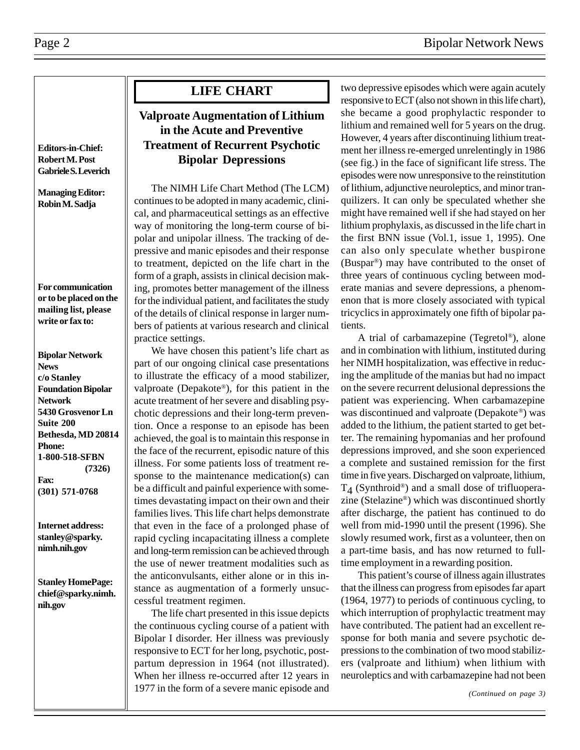**Editors-in-Chief: Robert M. Post Gabriele S. Leverich**

**Managing Editor: Robin M. Sadja**

**For communication or to be placed on the mailing list, please write or fax to:**

**Bipolar Network News c/o Stanley Foundation Bipolar Network 5430 Grosvenor Ln Suite 200 Bethesda, MD 20814 Phone: 1-800-518-SFBN (7326) Fax: (301) 571-0768**

**Internet address: stanley@sparky. nimh.nih.gov**

**Stanley HomePage: chief@sparky.nimh. nih.gov**

# **LIFE CHART**

# **Valproate Augmentation of Lithium in the Acute and Preventive Treatment of Recurrent Psychotic Bipolar Depressions**

The NIMH Life Chart Method (The LCM) continues to be adopted in many academic, clinical, and pharmaceutical settings as an effective way of monitoring the long-term course of bipolar and unipolar illness. The tracking of depressive and manic episodes and their response to treatment, depicted on the life chart in the form of a graph, assists in clinical decision making, promotes better management of the illness for the individual patient, and facilitates the study of the details of clinical response in larger numbers of patients at various research and clinical practice settings.

We have chosen this patient's life chart as part of our ongoing clinical case presentations to illustrate the efficacy of a mood stabilizer, valproate (Depakote®), for this patient in the acute treatment of her severe and disabling psychotic depressions and their long-term prevention. Once a response to an episode has been achieved, the goal is to maintain this response in the face of the recurrent, episodic nature of this illness. For some patients loss of treatment response to the maintenance medication(s) can be a difficult and painful experience with sometimes devastating impact on their own and their families lives. This life chart helps demonstrate that even in the face of a prolonged phase of rapid cycling incapacitating illness a complete and long-term remission can be achieved through the use of newer treatment modalities such as the anticonvulsants, either alone or in this instance as augmentation of a formerly unsuccessful treatment regimen.

The life chart presented in this issue depicts the continuous cycling course of a patient with Bipolar I disorder. Her illness was previously responsive to ECT for her long, psychotic, postpartum depression in 1964 (not illustrated). When her illness re-occurred after 12 years in 1977 in the form of a severe manic episode and two depressive episodes which were again acutely responsive to ECT (also not shown in this life chart), she became a good prophylactic responder to lithium and remained well for 5 years on the drug. However, 4 years after discontinuing lithium treatment her illness re-emerged unrelentingly in 1986 (see fig.) in the face of significant life stress. The episodes were now unresponsive to the reinstitution of lithium, adjunctive neuroleptics, and minor tranquilizers. It can only be speculated whether she might have remained well if she had stayed on her lithium prophylaxis, as discussed in the life chart in the first BNN issue (Vol.1, issue 1, 1995). One can also only speculate whether buspirone (Buspar®) may have contributed to the onset of three years of continuous cycling between moderate manias and severe depressions, a phenomenon that is more closely associated with typical tricyclics in approximately one fifth of bipolar patients.

A trial of carbamazepine (Tegretol®), alone and in combination with lithium, instituted during her NIMH hospitalization, was effective in reducing the amplitude of the manias but had no impact on the severe recurrent delusional depressions the patient was experiencing. When carbamazepine was discontinued and valproate (Depakote®) was added to the lithium, the patient started to get better. The remaining hypomanias and her profound depressions improved, and she soon experienced a complete and sustained remission for the first time in five years. Discharged on valproate, lithium,  $T_4$  (Synthroid®) and a small dose of trifluoperazine (Stelazine®) which was discontinued shortly after discharge, the patient has continued to do well from mid-1990 until the present (1996). She slowly resumed work, first as a volunteer, then on a part-time basis, and has now returned to fulltime employment in a rewarding position.

This patient's course of illness again illustrates that the illness can progress from episodes far apart (1964, 1977) to periods of continuous cycling, to which interruption of prophylactic treatment may have contributed. The patient had an excellent response for both mania and severe psychotic depressions to the combination of two mood stabilizers (valproate and lithium) when lithium with neuroleptics and with carbamazepine had not been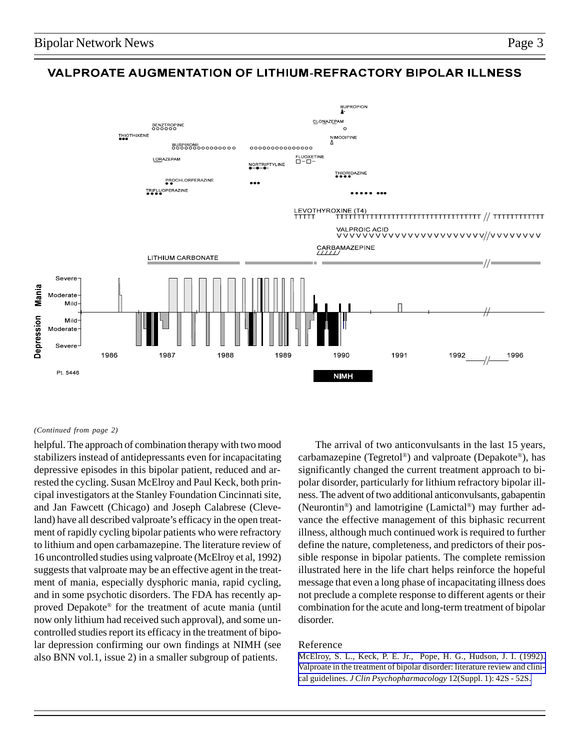# **VALPROATE AUGMENTATION OF LITHIUM-REFRACTORY BIPOLAR ILLNESS**



### *(Continued from page 2)*

helpful. The approach of combination therapy with two mood stabilizers instead of antidepressants even for incapacitating depressive episodes in this bipolar patient, reduced and arrested the cycling. Susan McElroy and Paul Keck, both principal investigators at the Stanley Foundation Cincinnati site, and Jan Fawcett (Chicago) and Joseph Calabrese (Cleveland) have all described valproate's efficacy in the open treatment of rapidly cycling bipolar patients who were refractory to lithium and open carbamazepine. The literature review of 16 uncontrolled studies using valproate (McElroy et al, 1992) suggests that valproate may be an effective agent in the treatment of mania, especially dysphoric mania, rapid cycling, and in some psychotic disorders. The FDA has recently approved Depakote® for the treatment of acute mania (until now only lithium had received such approval), and some uncontrolled studies report its efficacy in the treatment of bipolar depression confirming our own findings at NIMH (see also BNN vol.1, issue 2) in a smaller subgroup of patients.

The arrival of two anticonvulsants in the last 15 years, carbamazepine (Tegretol®) and valproate (Depakote®), has significantly changed the current treatment approach to bipolar disorder, particularly for lithium refractory bipolar illness. The advent of two additional anticonvulsants, gabapentin (Neurontin®) and lamotrigine (Lamictal®) may further advance the effective management of this biphasic recurrent illness, although much continued work is required to further define the nature, completeness, and predictors of their possible response in bipolar patients. The complete remission illustrated here in the life chart helps reinforce the hopeful message that even a long phase of incapacitating illness does not preclude a complete response to different agents or their combination for the acute and long-term treatment of bipolar disorder.

### Reference

[McElroy, S. L., Keck, P. E. Jr., Pope, H. G., Hudson, J. I. \(1992\).](http://www.ncbi.nlm.nih.gov:80/entrez/query.fcgi?cmd=Retrieve&db=PubMed&list_uids=1541717&dopt=Abstract) [Valproate in the treatment of bipolar disorder: literature review and clini](http://www.ncbi.nlm.nih.gov:80/entrez/query.fcgi?cmd=Retrieve&db=PubMed&list_uids=1541717&dopt=Abstract)cal guidelines. *[J Clin Psychopharmacology](http://www.ncbi.nlm.nih.gov:80/entrez/query.fcgi?cmd=Retrieve&db=PubMed&list_uids=1541717&dopt=Abstract)* 12(Suppl. 1): 42S - 52S.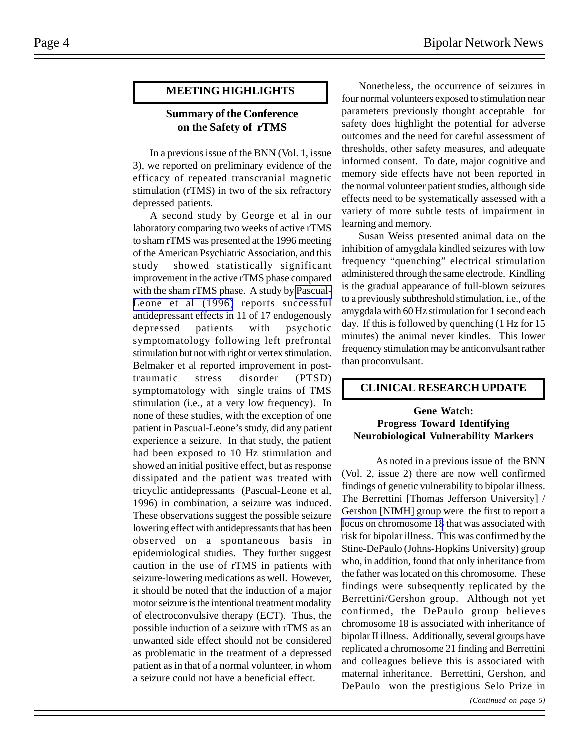# **MEETING HIGHLIGHTS**

# **Summary of the Conference on the Safety of rTMS**

In a previous issue of the BNN (Vol. 1, issue 3), we reported on preliminary evidence of the efficacy of repeated transcranial magnetic stimulation (rTMS) in two of the six refractory depressed patients.

A second study by George et al in our laboratory comparing two weeks of active rTMS to sham rTMS was presented at the 1996 meeting of the American Psychiatric Association, and this study showed statistically significant improvement in the active rTMS phase compared with the sham rTMS phase. A study by [Pascual-](http://www.ncbi.nlm.nih.gov:80/entrez/query.fcgi?cmd=Retrieve&db=PubMed&list_uids=8684201&dopt=Abstract)[Leone et al \(1996\)](http://www.ncbi.nlm.nih.gov:80/entrez/query.fcgi?cmd=Retrieve&db=PubMed&list_uids=8684201&dopt=Abstract) reports successful antidepressant effects in 11 of 17 endogenously depressed patients with psychotic symptomatology following left prefrontal stimulation but not with right or vertex stimulation. Belmaker et al reported improvement in posttraumatic stress disorder (PTSD) symptomatology with single trains of TMS stimulation (i.e., at a very low frequency). In none of these studies, with the exception of one patient in Pascual-Leone's study, did any patient experience a seizure. In that study, the patient had been exposed to 10 Hz stimulation and showed an initial positive effect, but as response dissipated and the patient was treated with tricyclic antidepressants (Pascual-Leone et al, 1996) in combination, a seizure was induced. These observations suggest the possible seizure lowering effect with antidepressants that has been observed on a spontaneous basis in epidemiological studies. They further suggest caution in the use of rTMS in patients with seizure-lowering medications as well. However, it should be noted that the induction of a major motor seizure is the intentional treatment modality of electroconvulsive therapy (ECT). Thus, the possible induction of a seizure with rTMS as an unwanted side effect should not be considered as problematic in the treatment of a depressed patient as in that of a normal volunteer, in whom a seizure could not have a beneficial effect.

Nonetheless, the occurrence of seizures in four normal volunteers exposed to stimulation near parameters previously thought acceptable for safety does highlight the potential for adverse outcomes and the need for careful assessment of thresholds, other safety measures, and adequate informed consent. To date, major cognitive and memory side effects have not been reported in the normal volunteer patient studies, although side effects need to be systematically assessed with a variety of more subtle tests of impairment in learning and memory.

Susan Weiss presented animal data on the inhibition of amygdala kindled seizures with low frequency "quenching" electrical stimulation administered through the same electrode. Kindling is the gradual appearance of full-blown seizures to a previously subthreshold stimulation, i.e., of the amygdala with 60 Hz stimulation for 1 second each day. If this is followed by quenching (1 Hz for 15 minutes) the animal never kindles. This lower frequency stimulation may be anticonvulsant rather than proconvulsant.

# **CLINICAL RESEARCH UPDATE**

# **Gene Watch: Progress Toward Identifying Neurobiological Vulnerability Markers**

As noted in a previous issue of the BNN (Vol. 2, issue 2) there are now well confirmed findings of genetic vulnerability to bipolar illness. The Berrettini [Thomas Jefferson University] / Gershon [NIMH] group were the first to report a [locus on chromosome 18](http://www.ncbi.nlm.nih.gov:80/entrez/query.fcgi?cmd=Retrieve&db=PubMed&list_uids=8016089&dopt=Abstract) that was associated with risk for bipolar illness. This was confirmed by the Stine-DePaulo (Johns-Hopkins University) group who, in addition, found that only inheritance from the father was located on this chromosome. These findings were subsequently replicated by the Berrettini/Gershon group. Although not yet confirmed, the DePaulo group believes chromosome 18 is associated with inheritance of bipolar II illness. Additionally, several groups have replicated a chromosome 21 finding and Berrettini and colleagues believe this is associated with maternal inheritance. Berrettini, Gershon, and DePaulo won the prestigious Selo Prize in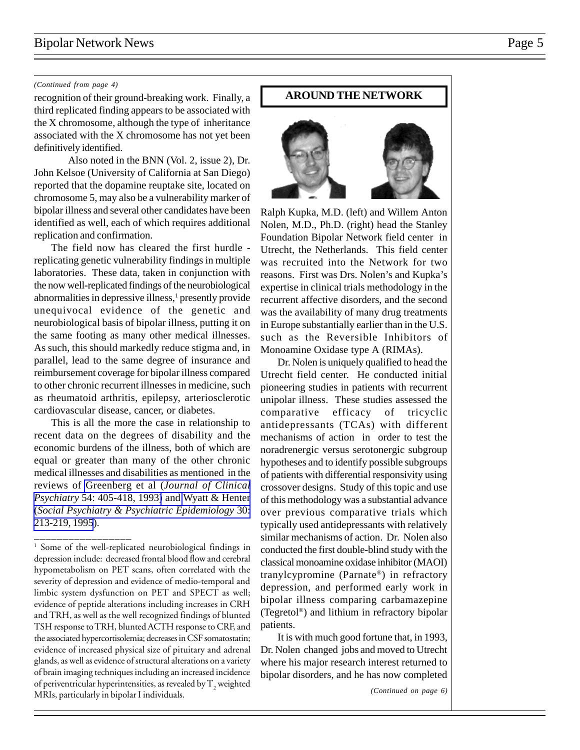# Bipolar Network News Page 5

### *(Continued from page 4)*

third replicated finding appears to be associated with the X chromosome, although the type of inheritance associated with the X chromosome has not yet been definitively identified.

Also noted in the BNN (Vol. 2, issue 2), Dr. John Kelsoe (University of California at San Diego) reported that the dopamine reuptake site, located on chromosome 5, may also be a vulnerability marker of bipolar illness and several other candidates have been identified as well, each of which requires additional replication and confirmation.

The field now has cleared the first hurdle replicating genetic vulnerability findings in multiple laboratories. These data, taken in conjunction with the now well-replicated findings of the neurobiological abnormalities in depressive illness,<sup>1</sup> presently provide unequivocal evidence of the genetic and neurobiological basis of bipolar illness, putting it on the same footing as many other medical illnesses. As such, this should markedly reduce stigma and, in parallel, lead to the same degree of insurance and reimbursement coverage for bipolar illness compared to other chronic recurrent illnesses in medicine, such as rheumatoid arthritis, epilepsy, arteriosclerotic cardiovascular disease, cancer, or diabetes.

This is all the more the case in relationship to recent data on the degrees of disability and the economic burdens of the illness, both of which are equal or greater than many of the other chronic medical illnesses and disabilities as mentioned in the reviews of Greenberg et al (*[Journal of Clinical](http://www.ncbi.nlm.nih.gov:80/entrez/query.fcgi?cmd=Retrieve&db=PubMed&list_uids=8270583&dopt=Abstract) Psychiatry* [54: 405-418, 1993\)](http://www.ncbi.nlm.nih.gov:80/entrez/query.fcgi?cmd=Retrieve&db=PubMed&list_uids=8270583&dopt=Abstract) and [Wyatt & Henter](http://www.ncbi.nlm.nih.gov:80/entrez/query.fcgi?cmd=Retrieve&db=PubMed&list_uids=7482006&dopt=Abstract) (*[Social Psychiatry & Psychiatric Epidemiology](http://www.ncbi.nlm.nih.gov:80/entrez/query.fcgi?cmd=Retrieve&db=PubMed&list_uids=7482006&dopt=Abstract)* 30: [213-219, 1995](http://www.ncbi.nlm.nih.gov:80/entrez/query.fcgi?cmd=Retrieve&db=PubMed&list_uids=7482006&dopt=Abstract)).

\_\_\_\_\_\_\_\_\_\_\_\_\_\_\_\_\_\_\_

# recognition of their ground-breaking work. Finally, a **AROUND THE NETWORK**

Ralph Kupka, M.D. (left) and Willem Anton Nolen, M.D., Ph.D. (right) head the Stanley Foundation Bipolar Network field center in Utrecht, the Netherlands. This field center was recruited into the Network for two reasons. First was Drs. Nolen's and Kupka's expertise in clinical trials methodology in the recurrent affective disorders, and the second was the availability of many drug treatments in Europe substantially earlier than in the U.S. such as the Reversible Inhibitors of Monoamine Oxidase type A (RIMAs).

Dr. Nolen is uniquely qualified to head the Utrecht field center. He conducted initial pioneering studies in patients with recurrent unipolar illness. These studies assessed the comparative efficacy of tricyclic antidepressants (TCAs) with different mechanisms of action in order to test the noradrenergic versus serotonergic subgroup hypotheses and to identify possible subgroups of patients with differential responsivity using crossover designs. Study of this topic and use of this methodology was a substantial advance over previous comparative trials which typically used antidepressants with relatively similar mechanisms of action. Dr. Nolen also conducted the first double-blind study with the classical monoamine oxidase inhibitor (MAOI) tranylcypromine (Parnate®) in refractory depression, and performed early work in bipolar illness comparing carbamazepine (Tegretol®) and lithium in refractory bipolar patients.

It is with much good fortune that, in 1993, Dr. Nolen changed jobs and moved to Utrecht where his major research interest returned to bipolar disorders, and he has now completed

<sup>&</sup>lt;sup>1</sup> Some of the well-replicated neurobiological findings in depression include: decreased frontal blood flow and cerebral hypometabolism on PET scans, often correlated with the severity of depression and evidence of medio-temporal and limbic system dysfunction on PET and SPECT as well; evidence of peptide alterations including increases in CRH and TRH, as well as the well recognized findings of blunted TSH response to TRH, blunted ACTH response to CRF, and the associated hypercortisolemia; decreases in CSF somatostatin; evidence of increased physical size of pituitary and adrenal glands, as well as evidence of structural alterations on a variety of brain imaging techniques including an increased incidence of periventricular hyperintensities, as revealed by  $\mathrm{T}_\mathrm{2}$  weighted MRIs, particularly in bipolar I individuals.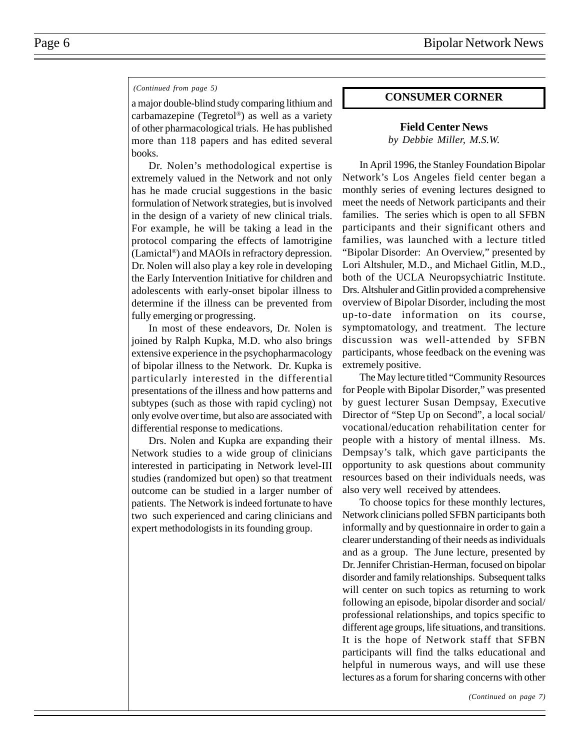### *(Continued from page 5)*

a major double-blind study comparing lithium and carbamazepine (Tegretol®) as well as a variety of other pharmacological trials. He has published more than 118 papers and has edited several books.

Dr. Nolen's methodological expertise is extremely valued in the Network and not only has he made crucial suggestions in the basic formulation of Network strategies, but is involved in the design of a variety of new clinical trials. For example, he will be taking a lead in the protocol comparing the effects of lamotrigine (Lamictal®) and MAOIs in refractory depression. Dr. Nolen will also play a key role in developing the Early Intervention Initiative for children and adolescents with early-onset bipolar illness to determine if the illness can be prevented from fully emerging or progressing.

In most of these endeavors, Dr. Nolen is joined by Ralph Kupka, M.D. who also brings extensive experience in the psychopharmacology of bipolar illness to the Network. Dr. Kupka is particularly interested in the differential presentations of the illness and how patterns and subtypes (such as those with rapid cycling) not only evolve over time, but also are associated with differential response to medications.

Drs. Nolen and Kupka are expanding their Network studies to a wide group of clinicians interested in participating in Network level-III studies (randomized but open) so that treatment outcome can be studied in a larger number of patients. The Network is indeed fortunate to have two such experienced and caring clinicians and expert methodologists in its founding group.

### **CONSUMER CORNER**

# **Field Center News**

*by Debbie Miller, M.S.W.*

In April 1996, the Stanley Foundation Bipolar Network's Los Angeles field center began a monthly series of evening lectures designed to meet the needs of Network participants and their families. The series which is open to all SFBN participants and their significant others and families, was launched with a lecture titled "Bipolar Disorder: An Overview," presented by Lori Altshuler, M.D., and Michael Gitlin, M.D., both of the UCLA Neuropsychiatric Institute. Drs. Altshuler and Gitlin provided a comprehensive overview of Bipolar Disorder, including the most up-to-date information on its course, symptomatology, and treatment. The lecture discussion was well-attended by SFBN participants, whose feedback on the evening was extremely positive.

The May lecture titled "Community Resources for People with Bipolar Disorder," was presented by guest lecturer Susan Dempsay, Executive Director of "Step Up on Second", a local social/ vocational/education rehabilitation center for people with a history of mental illness. Ms. Dempsay's talk, which gave participants the opportunity to ask questions about community resources based on their individuals needs, was also very well received by attendees.

To choose topics for these monthly lectures, Network clinicians polled SFBN participants both informally and by questionnaire in order to gain a clearer understanding of their needs as individuals and as a group. The June lecture, presented by Dr. Jennifer Christian-Herman, focused on bipolar disorder and family relationships. Subsequent talks will center on such topics as returning to work following an episode, bipolar disorder and social/ professional relationships, and topics specific to different age groups, life situations, and transitions. It is the hope of Network staff that SFBN participants will find the talks educational and helpful in numerous ways, and will use these lectures as a forum for sharing concerns with other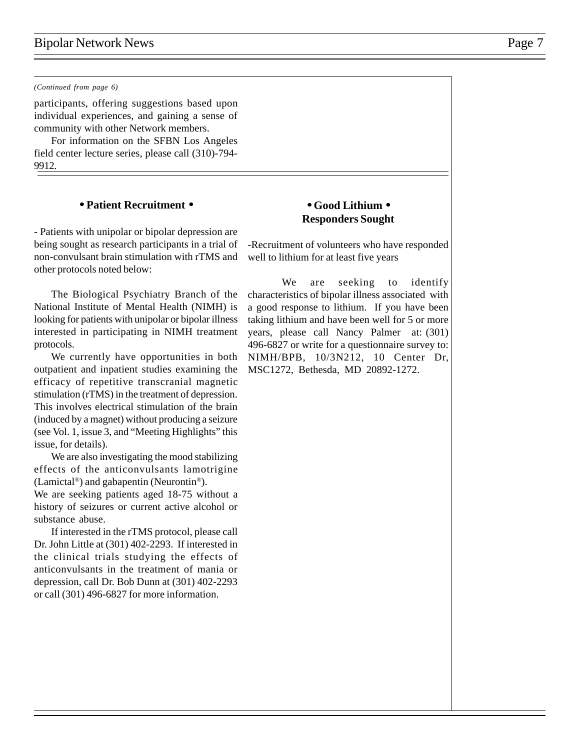### *(Continued from page 6)*

participants, offering suggestions based upon individual experiences, and gaining a sense of community with other Network members.

For information on the SFBN Los Angeles field center lecture series, please call (310)-794- 9912.

### • **Patient Recruitment** •

- Patients with unipolar or bipolar depression are being sought as research participants in a trial of non-convulsant brain stimulation with rTMS and other protocols noted below:

The Biological Psychiatry Branch of the National Institute of Mental Health (NIMH) is looking for patients with unipolar or bipolar illness interested in participating in NIMH treatment protocols.

We currently have opportunities in both outpatient and inpatient studies examining the efficacy of repetitive transcranial magnetic stimulation (rTMS) in the treatment of depression. This involves electrical stimulation of the brain (induced by a magnet) without producing a seizure (see Vol. 1, issue 3, and "Meeting Highlights" this issue, for details).

We are also investigating the mood stabilizing effects of the anticonvulsants lamotrigine (Lamictal®) and gabapentin (Neurontin®).

We are seeking patients aged 18-75 without a history of seizures or current active alcohol or substance abuse.

If interested in the rTMS protocol, please call Dr. John Little at (301) 402-2293. If interested in the clinical trials studying the effects of anticonvulsants in the treatment of mania or depression, call Dr. Bob Dunn at (301) 402-2293 or call (301) 496-6827 for more information.

# • **Good Lithium** • **Responders Sought**

-Recruitment of volunteers who have responded well to lithium for at least five years

We are seeking to identify characteristics of bipolar illness associated with a good response to lithium. If you have been taking lithium and have been well for 5 or more years, please call Nancy Palmer at: (301) 496-6827 or write for a questionnaire survey to: NIMH/BPB, 10/3N212, 10 Center Dr, MSC1272, Bethesda, MD 20892-1272.